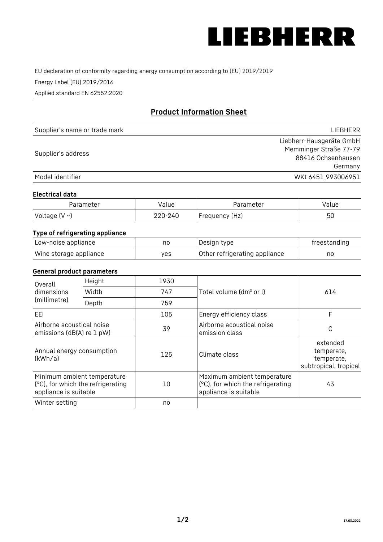

EU declaration of conformity regarding energy consumption according to (EU) 2019/2019

Energy Label (EU) 2019/2016

Applied standard EN 62552:2020

# **Product Information Sheet**

| Supplier's name or trade mark | <b>LIFBHFRR</b>          |
|-------------------------------|--------------------------|
|                               | Liebherr-Hausgeräte GmbH |
| Supplier's address            | Memminger Straße 77-79   |
|                               | 88416 Ochsenhausen       |
|                               | Germany                  |
| Model identifier              | WKt 6451 993006951       |

### **Electrical data**

| Parameter     | Value   | Parameter      | alue/ |
|---------------|---------|----------------|-------|
| Voltage (V ~) | 220-240 | Frequency (Hz) | 50    |

# **Type of refrigerating appliance**

| Low-noise appliance    | nc  | Design type                   | freestanding |
|------------------------|-----|-------------------------------|--------------|
| Wine storage appliance | ves | Other refrigerating appliance | no           |

### **General product parameters**

| Height<br>Overall                                      |                                                                  | 1930 |                                                                                           |                                                               |
|--------------------------------------------------------|------------------------------------------------------------------|------|-------------------------------------------------------------------------------------------|---------------------------------------------------------------|
| dimensions<br>(millimetre)                             | Width                                                            | 747  | Total volume (dm <sup>3</sup> or l)                                                       | 614                                                           |
|                                                        | Depth                                                            | 759  |                                                                                           |                                                               |
| EEL                                                    |                                                                  | 105  | Energy efficiency class                                                                   | F                                                             |
| Airborne acoustical noise<br>emissions (dB(A) re 1 pW) |                                                                  | 39   | Airborne acoustical noise<br>emission class                                               | C                                                             |
| Annual energy consumption<br>(kWh/a)                   |                                                                  | 125  | Climate class                                                                             | extended<br>temperate,<br>temperate,<br>subtropical, tropical |
| appliance is suitable                                  | Minimum ambient temperature<br>(°C), for which the refrigerating | 10   | Maximum ambient temperature<br>(°C), for which the refrigerating<br>appliance is suitable | 43                                                            |
| Winter setting                                         |                                                                  | no   |                                                                                           |                                                               |